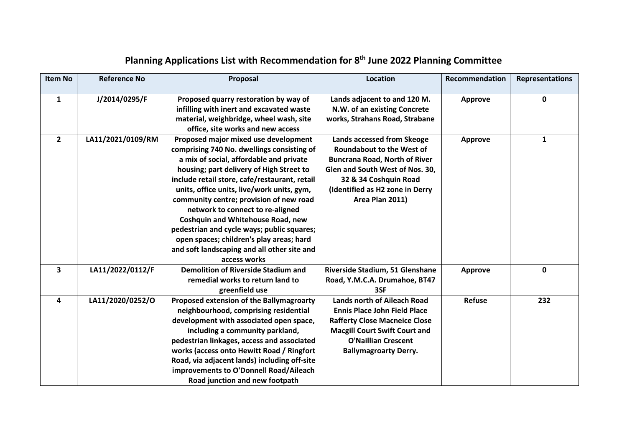| <b>Item No</b> | <b>Reference No</b> | Proposal                                                                                                                                                                                                                                                                                                                                                                                                                                                                                                                                                     | Location                                                                                                                                                                                                                 | Recommendation | <b>Representations</b> |
|----------------|---------------------|--------------------------------------------------------------------------------------------------------------------------------------------------------------------------------------------------------------------------------------------------------------------------------------------------------------------------------------------------------------------------------------------------------------------------------------------------------------------------------------------------------------------------------------------------------------|--------------------------------------------------------------------------------------------------------------------------------------------------------------------------------------------------------------------------|----------------|------------------------|
| $\mathbf{1}$   | J/2014/0295/F       | Proposed quarry restoration by way of<br>infilling with inert and excavated waste<br>material, weighbridge, wheel wash, site<br>office, site works and new access                                                                                                                                                                                                                                                                                                                                                                                            | Lands adjacent to and 120 M.<br>N.W. of an existing Concrete<br>works, Strahans Road, Strabane                                                                                                                           | <b>Approve</b> | 0                      |
| $\overline{2}$ | LA11/2021/0109/RM   | Proposed major mixed use development<br>comprising 740 No. dwellings consisting of<br>a mix of social, affordable and private<br>housing; part delivery of High Street to<br>include retail store, cafe/restaurant, retail<br>units, office units, live/work units, gym,<br>community centre; provision of new road<br>network to connect to re-aligned<br><b>Coshquin and Whitehouse Road, new</b><br>pedestrian and cycle ways; public squares;<br>open spaces; children's play areas; hard<br>and soft landscaping and all other site and<br>access works | Lands accessed from Skeoge<br><b>Roundabout to the West of</b><br><b>Buncrana Road, North of River</b><br>Glen and South West of Nos. 30,<br>32 & 34 Coshquin Road<br>(Identified as H2 zone in Derry<br>Area Plan 2011) | <b>Approve</b> | 1                      |
| 3              | LA11/2022/0112/F    | <b>Demolition of Riverside Stadium and</b><br>remedial works to return land to<br>greenfield use                                                                                                                                                                                                                                                                                                                                                                                                                                                             | Riverside Stadium, 51 Glenshane<br>Road, Y.M.C.A. Drumahoe, BT47<br>3SF                                                                                                                                                  | <b>Approve</b> | 0                      |
| 4              | LA11/2020/0252/O    | Proposed extension of the Ballymagroarty<br>neighbourhood, comprising residential<br>development with associated open space,<br>including a community parkland,<br>pedestrian linkages, access and associated<br>works (access onto Hewitt Road / Ringfort<br>Road, via adjacent lands) including off-site<br>improvements to O'Donnell Road/Aileach<br>Road junction and new footpath                                                                                                                                                                       | <b>Lands north of Aileach Road</b><br><b>Ennis Place John Field Place</b><br><b>Rafferty Close Macneice Close</b><br><b>Macgill Court Swift Court and</b><br><b>O'Naillian Crescent</b><br><b>Ballymagroarty Derry.</b>  | <b>Refuse</b>  | 232                    |

## **Planning Applications List with Recommendation for 8th June 2022 Planning Committee**